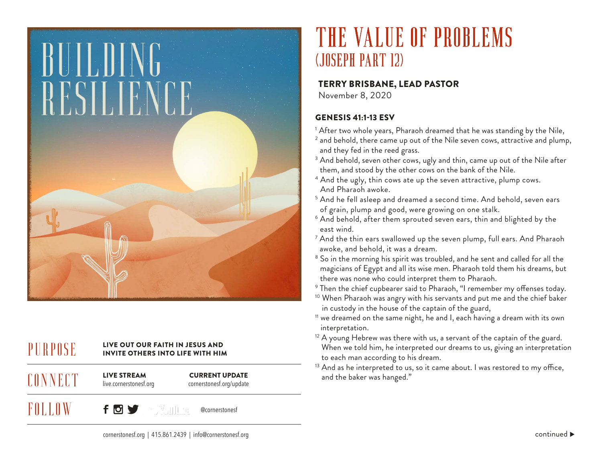

# $\text{PURPOS}$  and  $\text{PURS}$  invite out our faith in Jesus and  $\text{PURS}$

live.cornerstonesf.org **CONNECT** 

FOLLOW

CURRENT UPDATE

cornerstonesf.org/update

 $f$  o  $f$   $\in$   $\mathbb{M}$  . The @cornerstonesf

# THE VALUE OF PROBLEMS (JOSEPH PART 12)

#### TERRY BRISBANE, LEAD PASTOR

November 8, 2020

### GENESIS 41:1-13 ESV

- $^{\rm 1}$  After two whole years, Pharaoh dreamed that he was standing by the Nile,
- $^{\text{2}}$  and behold, there came up out of the Nile seven cows, attractive and plump, and they fed in the reed grass.
- $^3$  And behold, seven other cows, ugly and thin, came up out of the Nile after them, and stood by the other cows on the bank of the Nile.
- $^{\text{4}}$  And the ugly, thin cows ate up the seven attractive, plump cows. And Pharaoh awoke.
- $^{\rm 5}$  And he fell asleep and dreamed a second time. And behold, seven ears of grain, plump and good, were growing on one stalk.
- $^{\rm 6}$  And behold, after them sprouted seven ears, thin and blighted by the east wind.
- $^7$  And the thin ears swallowed up the seven plump, full ears. And Pharaoh  $^\mathrm{7}$ awoke, and behold, it was a dream.
- $^{\rm 8}$  So in the morning his spirit was troubled, and he sent and called for all the magicians of Egypt and all its wise men. Pharaoh told them his dreams, but there was none who could interpret them to Pharaoh.
- $^{\rm 9}$  Then the chief cupbearer said to Pharaoh, "I remember my offenses today.
- <sup>10</sup> When Pharaoh was angry with his servants and put me and the chief baker in custody in the house of the captain of the guard,
- <sup>11</sup> we dreamed on the same night, he and I, each having a dream with its own interpretation.
- <sup>12</sup> A young Hebrew was there with us, a servant of the captain of the guard. When we told him, he interpreted our dreams to us, giving an interpretation to each man according to his dream.
- <sup>13</sup> And as he interpreted to us, so it came about. I was restored to my office, LIVE STREAM **CURRENT UPDATE** and the baker was hanged."